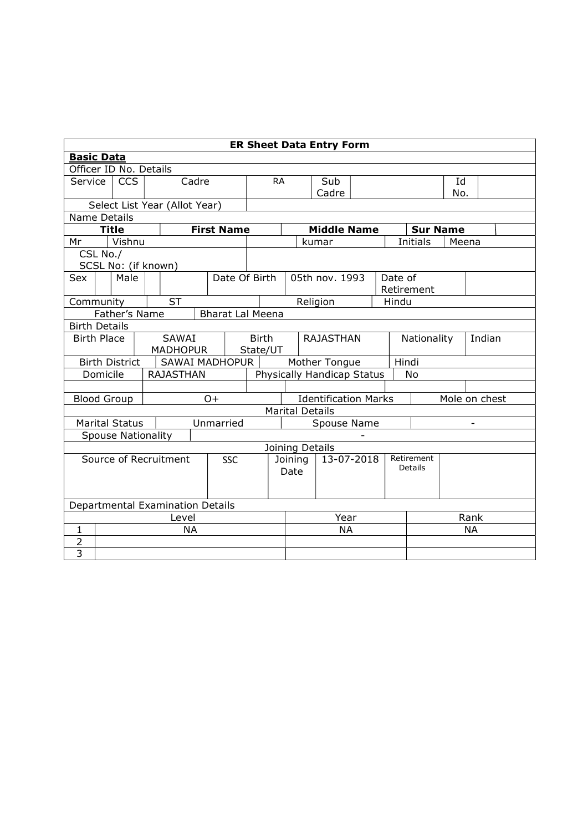|                                     | <b>ER Sheet Data Entry Form</b>  |                           |  |                               |           |                         |                       |                                                                        |           |                             |                  |       |                                    |             |       |  |
|-------------------------------------|----------------------------------|---------------------------|--|-------------------------------|-----------|-------------------------|-----------------------|------------------------------------------------------------------------|-----------|-----------------------------|------------------|-------|------------------------------------|-------------|-------|--|
| <b>Basic Data</b>                   |                                  |                           |  |                               |           |                         |                       |                                                                        |           |                             |                  |       |                                    |             |       |  |
| Officer ID No. Details              |                                  |                           |  |                               |           |                         |                       |                                                                        |           |                             |                  |       |                                    |             |       |  |
| Service                             |                                  | <b>CCS</b>                |  |                               | Cadre     |                         |                       | <b>RA</b><br>Sub                                                       |           |                             |                  |       |                                    | Id          |       |  |
|                                     |                                  |                           |  |                               |           |                         |                       |                                                                        |           | Cadre                       |                  |       |                                    | No.         |       |  |
|                                     |                                  |                           |  | Select List Year (Allot Year) |           |                         |                       |                                                                        |           |                             |                  |       |                                    |             |       |  |
| Name Details                        |                                  |                           |  |                               |           |                         |                       |                                                                        |           |                             |                  |       |                                    |             |       |  |
| Mr                                  |                                  | <b>Title</b><br>Vishnu    |  |                               |           | <b>First Name</b>       |                       |                                                                        |           | <b>Middle Name</b><br>kumar |                  |       | <b>Sur Name</b><br><b>Initials</b> |             | Meena |  |
| CSL No./                            |                                  |                           |  |                               |           |                         |                       |                                                                        |           |                             |                  |       |                                    |             |       |  |
|                                     |                                  |                           |  | SCSL No: (if known)           |           |                         |                       |                                                                        |           |                             |                  |       |                                    |             |       |  |
| Sex                                 |                                  | Male                      |  |                               |           | Date Of Birth           |                       |                                                                        |           | 05th nov. 1993              |                  |       | Date of                            |             |       |  |
|                                     |                                  |                           |  |                               |           |                         |                       |                                                                        |           |                             |                  |       | Retirement                         |             |       |  |
|                                     |                                  | <b>ST</b><br>Community    |  |                               |           |                         |                       |                                                                        | Religion  |                             |                  | Hindu |                                    |             |       |  |
|                                     |                                  | Father's Name             |  |                               |           | <b>Bharat Lal Meena</b> |                       |                                                                        |           |                             |                  |       |                                    |             |       |  |
| <b>Birth Details</b>                |                                  |                           |  |                               |           |                         |                       |                                                                        |           |                             |                  |       |                                    |             |       |  |
| <b>Birth Place</b>                  |                                  |                           |  | SAWAI                         |           |                         | <b>Birth</b>          |                                                                        |           |                             | <b>RAJASTHAN</b> |       |                                    | Nationality |       |  |
|                                     |                                  |                           |  | <b>MADHOPUR</b>               |           |                         | State/UT              |                                                                        |           |                             |                  |       |                                    |             |       |  |
|                                     |                                  | <b>Birth District</b>     |  |                               |           | SAWAI MADHOPUR          |                       | Hindi<br>Mother Tongue                                                 |           |                             |                  |       |                                    |             |       |  |
|                                     |                                  | Domicile                  |  | <b>RAJASTHAN</b>              |           |                         |                       | Physically Handicap Status<br>No                                       |           |                             |                  |       |                                    |             |       |  |
|                                     |                                  |                           |  |                               |           |                         |                       |                                                                        |           |                             |                  |       |                                    |             |       |  |
|                                     |                                  | <b>Blood Group</b>        |  |                               | $O+$      |                         |                       | <b>Identification Marks</b><br>Mole on chest<br><b>Marital Details</b> |           |                             |                  |       |                                    |             |       |  |
|                                     |                                  |                           |  |                               |           |                         |                       |                                                                        |           |                             |                  |       |                                    |             |       |  |
|                                     |                                  | <b>Marital Status</b>     |  |                               |           | Unmarried               |                       | Spouse Name                                                            |           |                             |                  |       |                                    |             |       |  |
|                                     |                                  | <b>Spouse Nationality</b> |  |                               |           |                         |                       |                                                                        |           |                             |                  |       |                                    |             |       |  |
|                                     |                                  |                           |  |                               |           |                         |                       |                                                                        |           | Joining Details             |                  |       | Retirement                         |             |       |  |
| Source of Recruitment<br><b>SSC</b> |                                  |                           |  |                               |           | Date                    | Joining<br>13-07-2018 |                                                                        |           | Details                     |                  |       |                                    |             |       |  |
|                                     |                                  |                           |  |                               |           |                         |                       |                                                                        |           |                             |                  |       |                                    |             |       |  |
|                                     |                                  |                           |  |                               |           |                         |                       |                                                                        |           |                             |                  |       |                                    |             |       |  |
|                                     | Departmental Examination Details |                           |  |                               |           |                         |                       |                                                                        |           |                             |                  |       |                                    |             |       |  |
|                                     | Level                            |                           |  |                               |           |                         | Year                  |                                                                        |           |                             | Rank             |       |                                    |             |       |  |
| $\mathbf{1}$                        |                                  |                           |  |                               | <b>NA</b> |                         |                       |                                                                        | <b>NA</b> |                             |                  |       |                                    | <b>NA</b>   |       |  |
| $\overline{2}$                      |                                  |                           |  |                               |           |                         |                       |                                                                        |           |                             |                  |       |                                    |             |       |  |
| $\overline{3}$                      |                                  |                           |  |                               |           |                         |                       |                                                                        |           |                             |                  |       |                                    |             |       |  |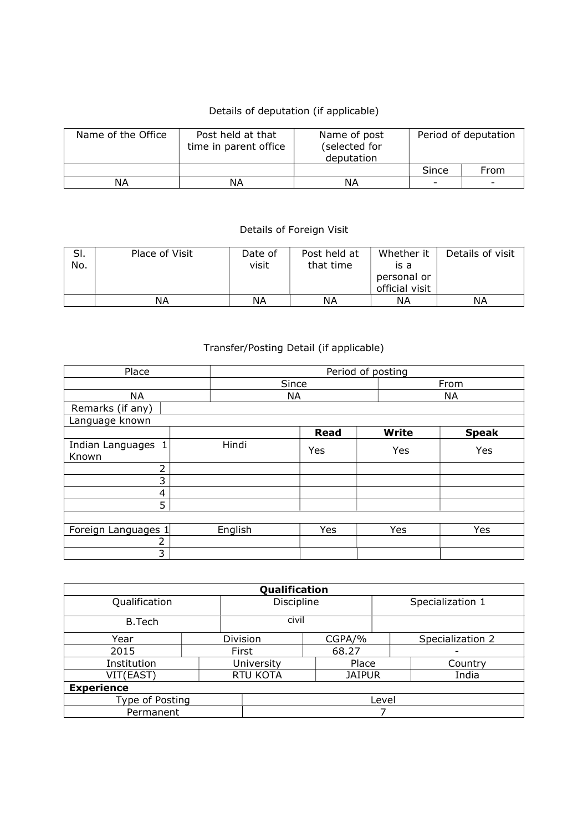## Details of deputation (if applicable)

| Name of the Office | Post held at that<br>time in parent office | Name of post<br>(selected for<br>deputation |                          | Period of deputation     |
|--------------------|--------------------------------------------|---------------------------------------------|--------------------------|--------------------------|
|                    |                                            |                                             | Since                    | From                     |
| ΝA                 | ΝA                                         | ΝA                                          | $\overline{\phantom{0}}$ | $\overline{\phantom{0}}$ |

## Details of Foreign Visit

| SI.<br>No. | Place of Visit | Date of<br>visit | Post held at<br>that time | Whether it<br>is a<br>personal or<br>official visit | Details of visit |
|------------|----------------|------------------|---------------------------|-----------------------------------------------------|------------------|
|            | ΝA             | ΝA               | ΝA                        | ΝA                                                  | ΝA               |

## Transfer/Posting Detail (if applicable)

| Place                       | Period of posting |      |      |              |              |  |  |
|-----------------------------|-------------------|------|------|--------------|--------------|--|--|
|                             | Since             |      | From |              |              |  |  |
| <b>NA</b>                   | NA                |      |      | <b>NA</b>    |              |  |  |
| Remarks (if any)            |                   |      |      |              |              |  |  |
| Language known              |                   |      |      |              |              |  |  |
|                             |                   | Read |      | <b>Write</b> | <b>Speak</b> |  |  |
| Indian Languages 1<br>Known | Hindi             | Yes  |      | Yes          | Yes          |  |  |
| 2                           |                   |      |      |              |              |  |  |
| 3                           |                   |      |      |              |              |  |  |
| 4                           |                   |      |      |              |              |  |  |
| 5                           |                   |      |      |              |              |  |  |
|                             |                   |      |      |              |              |  |  |
| Foreign Languages 1         | English           | Yes  |      | Yes          | Yes          |  |  |
| 2                           |                   |      |      |              |              |  |  |
| 3                           |                   |      |      |              |              |  |  |

|                   | Qualification |               |                  |  |  |  |
|-------------------|---------------|---------------|------------------|--|--|--|
| Qualification     | Discipline    |               | Specialization 1 |  |  |  |
| <b>B.Tech</b>     | civil         |               |                  |  |  |  |
| Year              | Division      | CGPA/%        | Specialization 2 |  |  |  |
| 2015              | First         | 68.27         | -                |  |  |  |
| Institution       | University    | Place         | Country          |  |  |  |
| VIT(EAST)         | RTU KOTA      | <b>JAIPUR</b> | India            |  |  |  |
| <b>Experience</b> |               |               |                  |  |  |  |
| Type of Posting   | Level         |               |                  |  |  |  |
| Permanent         |               |               |                  |  |  |  |